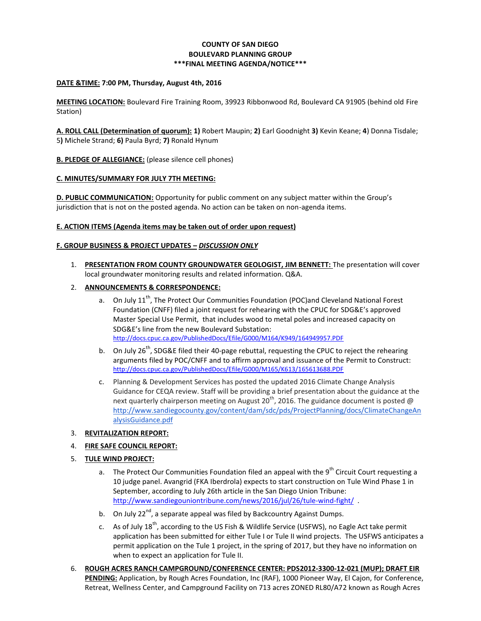# **COUNTY OF SAN DIEGO BOULEVARD PLANNING GROUP \*\*\*FINAL MEETING AGENDA/NOTICE\*\*\***

#### **DATE &TIME: 7:00 PM, Thursday, August 4th, 2016**

**MEETING LOCATION:** Boulevard Fire Training Room, 39923 Ribbonwood Rd, Boulevard CA 91905 (behind old Fire Station)

**A. ROLL CALL (Determination of quorum): 1)** Robert Maupin; **2)** Earl Goodnight **3)** Kevin Keane; **4**) Donna Tisdale; 5**)** Michele Strand; **6)** Paula Byrd; **7)** Ronald Hynum

**B. PLEDGE OF ALLEGIANCE:** (please silence cell phones)

### **C. MINUTES/SUMMARY FOR JULY 7TH MEETING:**

**D. PUBLIC COMMUNICATION:** Opportunity for public comment on any subject matter within the Group's jurisdiction that is not on the posted agenda. No action can be taken on non-agenda items.

### **E. ACTION ITEMS (Agenda items may be taken out of order upon request)**

### **F. GROUP BUSINESS & PROJECT UPDATES –** *DISCUSSION ONLY*

- 1. **PRESENTATION FROM COUNTY GROUNDWATER GEOLOGIST, JIM BENNETT:** The presentation will cover local groundwater monitoring results and related information. Q&A.
- 2. **ANNOUNCEMENTS & CORRESPONDENCE:**
	- a. On July  $11^{th}$ , The Protect Our Communities Foundation (POC)and Cleveland National Forest Foundation (CNFF) filed a joint request for rehearing with the CPUC for SDG&E's approved Master Special Use Permit, that includes wood to metal poles and increased capacity on SDG&E's line from the new Boulevard Substation: <http://docs.cpuc.ca.gov/PublishedDocs/Efile/G000/M164/K949/164949957.PDF>
	- b. On July  $26<sup>th</sup>$ , SDG&E filed their 40-page rebuttal, requesting the CPUC to reject the rehearing arguments filed by POC/CNFF and to affirm approval and issuance of the Permit to Construct: <http://docs.cpuc.ca.gov/PublishedDocs/Efile/G000/M165/K613/165613688.PDF>
	- c. Planning & Development Services has posted the updated 2016 Climate Change Analysis Guidance for CEQA review. Staff will be providing a brief presentation about the guidance at the next quarterly chairperson meeting on August 20<sup>th</sup>, 2016. The guidance document is posted @ [http://www.sandiegocounty.gov/content/dam/sdc/pds/ProjectPlanning/docs/ClimateChangeAn](http://www.sandiegocounty.gov/content/dam/sdc/pds/ProjectPlanning/docs/ClimateChangeAnalysisGuidance.pdf) [alysisGuidance.pdf](http://www.sandiegocounty.gov/content/dam/sdc/pds/ProjectPlanning/docs/ClimateChangeAnalysisGuidance.pdf)

#### 3. **REVITALIZATION REPORT:**

## 4. **FIRE SAFE COUNCIL REPORT:**

- 5. **TULE WIND PROJECT:**
	- a. The Protect Our Communities Foundation filed an appeal with the 9<sup>th</sup> Circuit Court requesting a 10 judge panel. Avangrid (FKA Iberdrola) expects to start construction on Tule Wind Phase 1 in September, according to July 26th article in the San Diego Union Tribune: http://www.sandiegouniontribune.com/news/2016/jul/26/tule-wind-fight/.
	- b. On July 22 $^{\text{nd}}$ , a separate appeal was filed by Backcountry Against Dumps.
	- c. As of July  $18^{th}$ , according to the US Fish & Wildlife Service (USFWS), no Eagle Act take permit application has been submitted for either Tule I or Tule II wind projects. The USFWS anticipates a permit application on the Tule 1 project, in the spring of 2017, but they have no information on when to expect an application for Tule II.
- 6. **ROUGH ACRES RANCH CAMPGROUND/CONFERENCE CENTER: PDS2012-3300-12-021 (MUP); DRAFT EIR PENDING:** Application, by Rough Acres Foundation, Inc (RAF), 1000 Pioneer Way, El Cajon, for Conference, Retreat, Wellness Center, and Campground Facility on 713 acres ZONED RL80/A72 known as Rough Acres